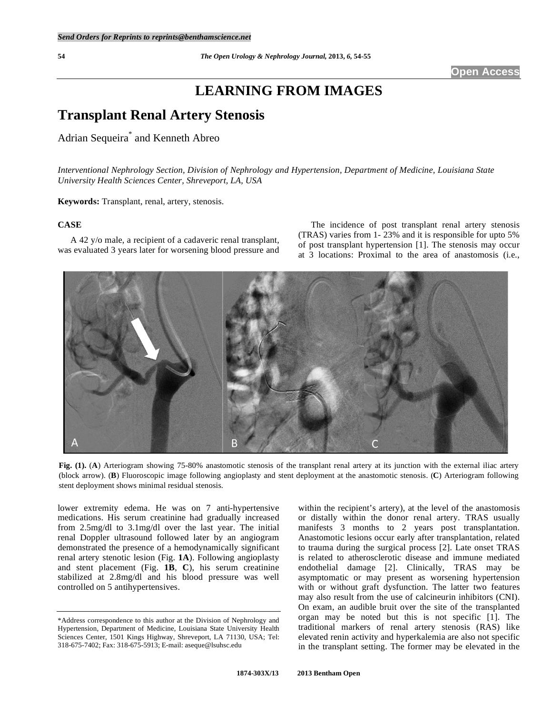# **LEARNING FROM IMAGES**

# **Transplant Renal Artery Stenosis**

## Adrian Sequeira\* and Kenneth Abreo

*Interventional Nephrology Section, Division of Nephrology and Hypertension, Department of Medicine, Louisiana State University Health Sciences Center, Shreveport, LA, USA* 

**Keywords:** Transplant, renal, artery, stenosis.

### **CASE**

 A 42 y/o male, a recipient of a cadaveric renal transplant, was evaluated 3 years later for worsening blood pressure and

 The incidence of post transplant renal artery stenosis (TRAS) varies from 1- 23% and it is responsible for upto 5% of post transplant hypertension [1]. The stenosis may occur at 3 locations: Proximal to the area of anastomosis (i.e.,



**Fig. (1).** (**A**) Arteriogram showing 75-80% anastomotic stenosis of the transplant renal artery at its junction with the external iliac artery (block arrow). (**B**) Fluoroscopic image following angioplasty and stent deployment at the anastomotic stenosis. (**C**) Arteriogram following stent deployment shows minimal residual stenosis.

lower extremity edema. He was on 7 anti-hypertensive medications. His serum creatinine had gradually increased from 2.5mg/dl to 3.1mg/dl over the last year. The initial renal Doppler ultrasound followed later by an angiogram demonstrated the presence of a hemodynamically significant renal artery stenotic lesion (Fig. **1A**). Following angioplasty and stent placement (Fig. **1B**, **C**), his serum creatinine stabilized at 2.8mg/dl and his blood pressure was well controlled on 5 antihypertensives.

within the recipient's artery), at the level of the anastomosis or distally within the donor renal artery. TRAS usually manifests 3 months to 2 years post transplantation. Anastomotic lesions occur early after transplantation, related to trauma during the surgical process [2]. Late onset TRAS is related to atherosclerotic disease and immune mediated endothelial damage [2]. Clinically, TRAS may be asymptomatic or may present as worsening hypertension with or without graft dysfunction. The latter two features may also result from the use of calcineurin inhibitors (CNI). On exam, an audible bruit over the site of the transplanted organ may be noted but this is not specific [1]. The traditional markers of renal artery stenosis (RAS) like elevated renin activity and hyperkalemia are also not specific in the transplant setting. The former may be elevated in the

<sup>\*</sup>Address correspondence to this author at the Division of Nephrology and Hypertension, Department of Medicine, Louisiana State University Health Sciences Center, 1501 Kings Highway, Shreveport, LA 71130, USA; Tel: 318-675-7402; Fax: 318-675-5913; E-mail: aseque@lsuhsc.edu